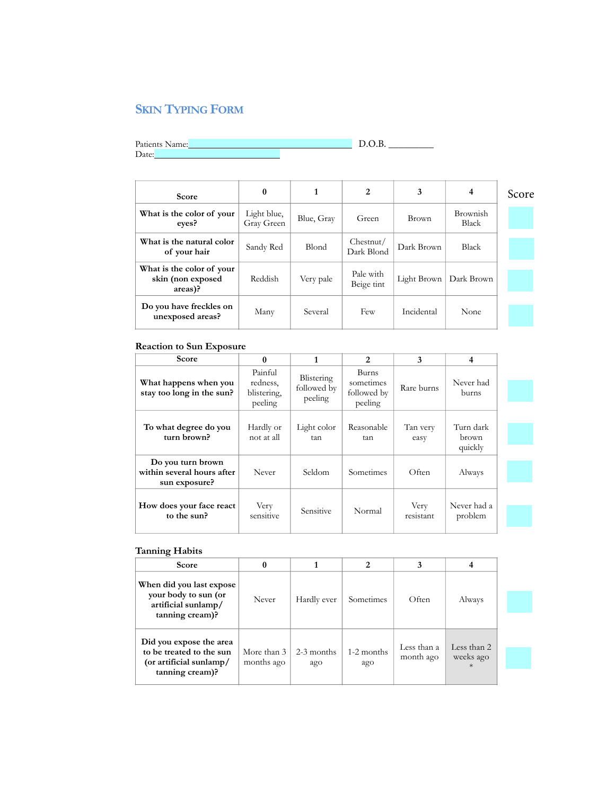## **SKIN TYPING FORM**

Patients Name: Date:

 $D.O.B.$ 

| <b>Score</b>                                              | 0                         | 1            | 2                       | 3           | 4                        | Score |
|-----------------------------------------------------------|---------------------------|--------------|-------------------------|-------------|--------------------------|-------|
| What is the color of your<br>eves?                        | Light blue,<br>Gray Green | Blue, Gray   | Green                   | Brown       | Brownish<br><b>Black</b> |       |
| What is the natural color<br>of your hair                 | Sandy Red                 | <b>Blond</b> | Chestnut/<br>Dark Blond | Dark Brown  | <b>Black</b>             |       |
| What is the color of your<br>skin (non exposed<br>areas)? | Reddish                   | Very pale    | Pale with<br>Beige tint | Light Brown | Dark Brown               |       |
| Do you have freckles on<br>unexposed areas?               | Many                      | Several      | Few                     | Incidental  | None                     |       |

## **Reaction to Sun Exposure**

| Score                                                            | $\mathbf{0}$                                  |                                      | 2                                            | 3                 | 4                             |
|------------------------------------------------------------------|-----------------------------------------------|--------------------------------------|----------------------------------------------|-------------------|-------------------------------|
| What happens when you<br>stay too long in the sun?               | Painful<br>redness.<br>blistering,<br>peeling | Blistering<br>followed by<br>peeling | Burns<br>sometimes<br>followed by<br>peeling | Rare burns        | Never had<br>burns            |
| To what degree do you<br>turn brown?                             | Hardly or<br>not at all                       | Light color<br>tan                   | Reasonable<br>tan                            | Tan very<br>easy  | Turn dark<br>brown<br>quickly |
| Do you turn brown<br>within several hours after<br>sun exposure? | Never                                         | Seldom                               | Sometimes                                    | Often             | Always                        |
| How does your face react<br>to the sun?                          | Very<br>sensitive                             | Sensitive                            | Normal                                       | Very<br>resistant | Never had a<br>problem        |

## **Tanning Habits**

| Score                                                                                             | 0                         |                     | 2                 | 3                        |                                    |
|---------------------------------------------------------------------------------------------------|---------------------------|---------------------|-------------------|--------------------------|------------------------------------|
| When did you last expose<br>your body to sun (or<br>artificial sunlamp/<br>tanning cream)?        | Never                     | Hardly ever         | Sometimes         | Often                    | Always                             |
| Did you expose the area<br>to be treated to the sun<br>(or artificial sunlamp/<br>tanning cream)? | More than 3<br>months ago | $2-3$ months<br>ago | 1-2 months<br>ago | Less than a<br>month ago | Less than 2<br>weeks ago<br>$\ast$ |